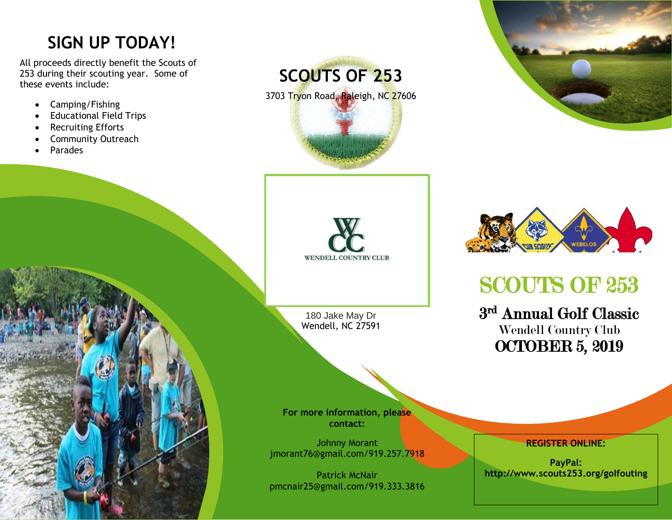## **SIGN UP TODAY!**

All proceeds directly benefit the Scouts of 253 during their scouting year. Some of these events include:

- Camping/Fishing
- Educational Field Trips
- Recruiting Efforts
- Community Outreach
- Parades





180 Jake May Dr Wendell, NC 27591

**For more information, please contact:**

Johnny Morant jmorant76@gmail.com/919.257.7918

Patrick McNair pmcnair25@gmail.com/919.333.3816





# SCOUTS OF 253

3 rd Annual Golf Classic Wendell Country Club OCTOBER 5, 2019

**REGISTER ONLINE:**

**PayPal: http://www.scouts253.org/golfouting**